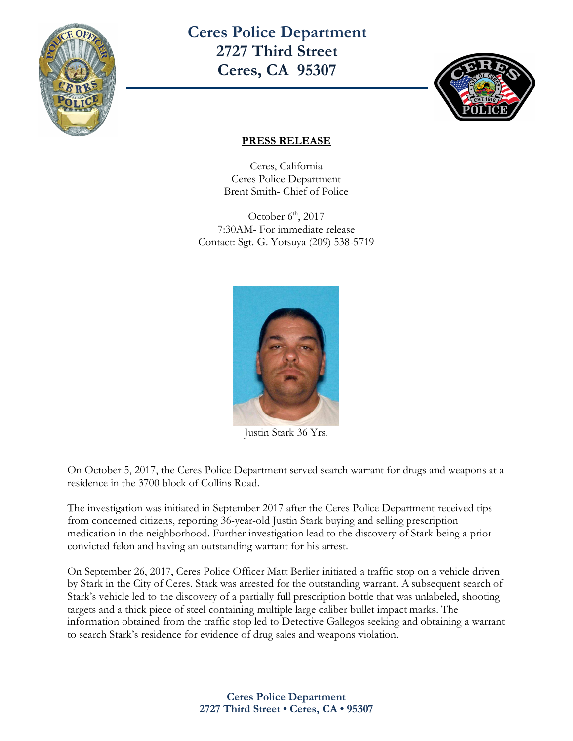

**Ceres Police Department 2727 Third Street Ceres, CA 95307** 



## **PRESS RELEASE**

Ceres, California Ceres Police Department Brent Smith- Chief of Police

October  $6<sup>th</sup>$ , 2017 7:30AM- For immediate release Contact: Sgt. G. Yotsuya (209) 538-5719



Justin Stark 36 Yrs.

On October 5, 2017, the Ceres Police Department served search warrant for drugs and weapons at a residence in the 3700 block of Collins Road.

The investigation was initiated in September 2017 after the Ceres Police Department received tips from concerned citizens, reporting 36-year-old Justin Stark buying and selling prescription medication in the neighborhood. Further investigation lead to the discovery of Stark being a prior convicted felon and having an outstanding warrant for his arrest.

On September 26, 2017, Ceres Police Officer Matt Berlier initiated a traffic stop on a vehicle driven by Stark in the City of Ceres. Stark was arrested for the outstanding warrant. A subsequent search of Stark's vehicle led to the discovery of a partially full prescription bottle that was unlabeled, shooting targets and a thick piece of steel containing multiple large caliber bullet impact marks. The information obtained from the traffic stop led to Detective Gallegos seeking and obtaining a warrant to search Stark's residence for evidence of drug sales and weapons violation.

> **Ceres Police Department 2727 Third Street • Ceres, CA • 95307**